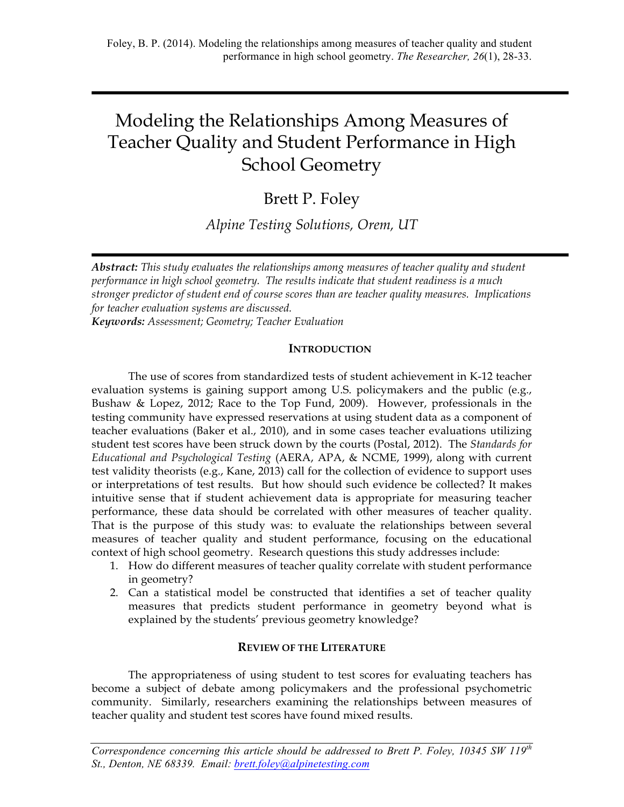# Modeling the Relationships Among Measures of Teacher Quality and Student Performance in High School Geometry

Brett P. Foley

*Alpine Testing Solutions, Orem, UT*

*Abstract: This study evaluates the relationships among measures of teacher quality and student performance in high school geometry. The results indicate that student readiness is a much stronger predictor of student end of course scores than are teacher quality measures. Implications for teacher evaluation systems are discussed. Keywords: Assessment; Geometry; Teacher Evaluation*

# **INTRODUCTION**

The use of scores from standardized tests of student achievement in K-12 teacher evaluation systems is gaining support among U.S. policymakers and the public (e.g., Bushaw & Lopez, 2012; Race to the Top Fund, 2009). However, professionals in the testing community have expressed reservations at using student data as a component of teacher evaluations (Baker et al., 2010), and in some cases teacher evaluations utilizing student test scores have been struck down by the courts (Postal, 2012). The *Standards for Educational and Psychological Testing* (AERA, APA, & NCME, 1999), along with current test validity theorists (e.g., Kane, 2013) call for the collection of evidence to support uses or interpretations of test results. But how should such evidence be collected? It makes intuitive sense that if student achievement data is appropriate for measuring teacher performance, these data should be correlated with other measures of teacher quality. That is the purpose of this study was: to evaluate the relationships between several measures of teacher quality and student performance, focusing on the educational context of high school geometry. Research questions this study addresses include:

- 1. How do different measures of teacher quality correlate with student performance in geometry?
- 2. Can a statistical model be constructed that identifies a set of teacher quality measures that predicts student performance in geometry beyond what is explained by the students' previous geometry knowledge?

# **REVIEW OF THE LITERATURE**

The appropriateness of using student to test scores for evaluating teachers has become a subject of debate among policymakers and the professional psychometric community. Similarly, researchers examining the relationships between measures of teacher quality and student test scores have found mixed results.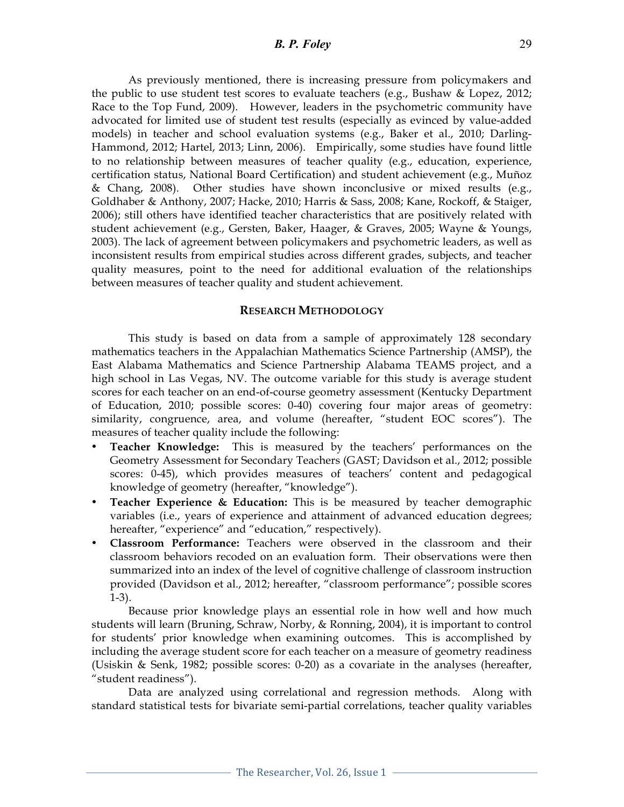## *B. P. Foley* 29

As previously mentioned, there is increasing pressure from policymakers and the public to use student test scores to evaluate teachers (e.g., Bushaw & Lopez, 2012; Race to the Top Fund, 2009). However, leaders in the psychometric community have advocated for limited use of student test results (especially as evinced by value-added models) in teacher and school evaluation systems (e.g., Baker et al., 2010; Darling-Hammond, 2012; Hartel, 2013; Linn, 2006). Empirically, some studies have found little to no relationship between measures of teacher quality (e.g., education, experience, certification status, National Board Certification) and student achievement (e.g., Muñoz & Chang, 2008). Other studies have shown inconclusive or mixed results (e.g., Goldhaber & Anthony, 2007; Hacke, 2010; Harris & Sass, 2008; Kane, Rockoff, & Staiger, 2006); still others have identified teacher characteristics that are positively related with student achievement (e.g., Gersten, Baker, Haager, & Graves, 2005; Wayne & Youngs, 2003). The lack of agreement between policymakers and psychometric leaders, as well as inconsistent results from empirical studies across different grades, subjects, and teacher quality measures, point to the need for additional evaluation of the relationships between measures of teacher quality and student achievement.

## **RESEARCH METHODOLOGY**

This study is based on data from a sample of approximately 128 secondary mathematics teachers in the Appalachian Mathematics Science Partnership (AMSP), the East Alabama Mathematics and Science Partnership Alabama TEAMS project, and a high school in Las Vegas, NV. The outcome variable for this study is average student scores for each teacher on an end-of-course geometry assessment (Kentucky Department of Education, 2010; possible scores: 0-40) covering four major areas of geometry: similarity, congruence, area, and volume (hereafter, "student EOC scores"). The measures of teacher quality include the following:

- **Teacher Knowledge:** This is measured by the teachers' performances on the Geometry Assessment for Secondary Teachers (GAST; Davidson et al., 2012; possible scores: 0-45), which provides measures of teachers' content and pedagogical knowledge of geometry (hereafter, "knowledge").
- **Teacher Experience & Education:** This is be measured by teacher demographic variables (i.e., years of experience and attainment of advanced education degrees; hereafter, "experience" and "education," respectively).
- **Classroom Performance:** Teachers were observed in the classroom and their classroom behaviors recoded on an evaluation form. Their observations were then summarized into an index of the level of cognitive challenge of classroom instruction provided (Davidson et al., 2012; hereafter, "classroom performance"; possible scores 1-3).

Because prior knowledge plays an essential role in how well and how much students will learn (Bruning, Schraw, Norby, & Ronning, 2004), it is important to control for students' prior knowledge when examining outcomes. This is accomplished by including the average student score for each teacher on a measure of geometry readiness (Usiskin & Senk, 1982; possible scores: 0-20) as a covariate in the analyses (hereafter, "student readiness").

Data are analyzed using correlational and regression methods. Along with standard statistical tests for bivariate semi-partial correlations, teacher quality variables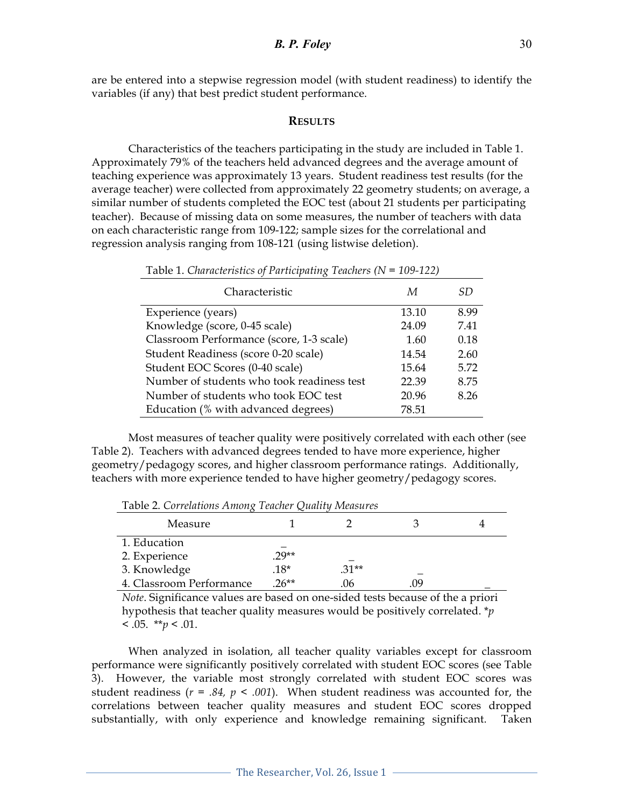are be entered into a stepwise regression model (with student readiness) to identify the variables (if any) that best predict student performance.

#### **RESULTS**

Characteristics of the teachers participating in the study are included in Table 1. Approximately 79% of the teachers held advanced degrees and the average amount of teaching experience was approximately 13 years. Student readiness test results (for the average teacher) were collected from approximately 22 geometry students; on average, a similar number of students completed the EOC test (about 21 students per participating teacher). Because of missing data on some measures, the number of teachers with data on each characteristic range from 109-122; sample sizes for the correlational and regression analysis ranging from 108-121 (using listwise deletion).

| Characteristic                             | М     | SD   |
|--------------------------------------------|-------|------|
| Experience (years)                         | 13.10 | 8.99 |
| Knowledge (score, 0-45 scale)              | 24.09 | 7.41 |
| Classroom Performance (score, 1-3 scale)   | 1.60  | 0.18 |
| Student Readiness (score 0-20 scale)       | 14.54 | 2.60 |
| Student EOC Scores (0-40 scale)            | 15.64 | 5.72 |
| Number of students who took readiness test | 22.39 | 8.75 |
| Number of students who took EOC test       | 20.96 | 8.26 |
| Education (% with advanced degrees)        | 78.51 |      |

Table 1. *Characteristics of Participating Teachers (N = 109-122)*

Most measures of teacher quality were positively correlated with each other (see Table 2). Teachers with advanced degrees tended to have more experience, higher geometry/pedagogy scores, and higher classroom performance ratings. Additionally, teachers with more experience tended to have higher geometry/pedagogy scores.

| Table 2. Correlations Among Teacher Quality Measures |         |         |     |  |  |
|------------------------------------------------------|---------|---------|-----|--|--|
| Measure                                              |         |         |     |  |  |
| 1. Education                                         |         |         |     |  |  |
| 2. Experience                                        | $.29**$ |         |     |  |  |
| 3. Knowledge                                         | $.18*$  | $.31**$ |     |  |  |
| 4. Classroom Performance                             | $26**$  | .06     | .09 |  |  |

Table 2. *Correlations Among Teacher Quality Measures*

*Note*. Significance values are based on one-sided tests because of the a priori hypothesis that teacher quality measures would be positively correlated. \**p*  $< .05.$  \*\**p* < .01.

When analyzed in isolation, all teacher quality variables except for classroom performance were significantly positively correlated with student EOC scores (see Table 3). However, the variable most strongly correlated with student EOC scores was student readiness ( $r = .84$ ,  $p < .001$ ). When student readiness was accounted for, the correlations between teacher quality measures and student EOC scores dropped substantially, with only experience and knowledge remaining significant. Taken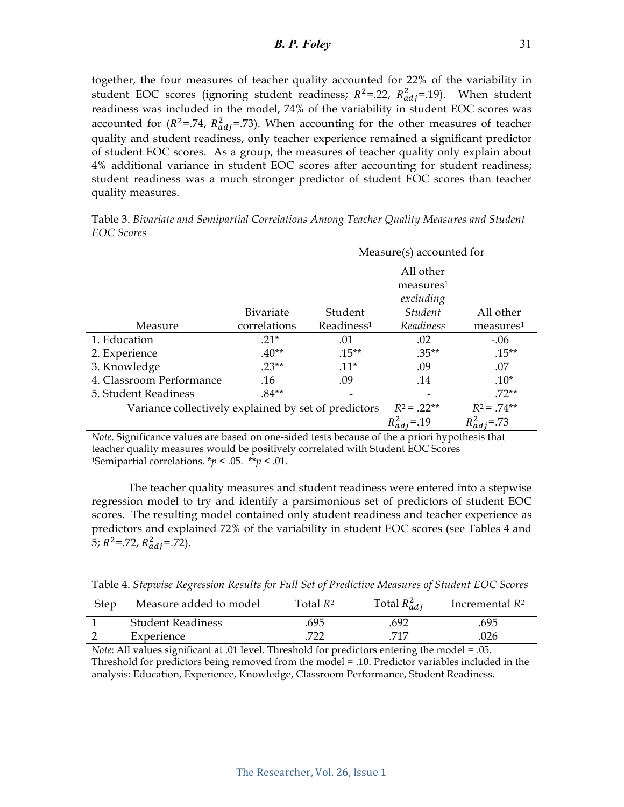together, the four measures of teacher quality accounted for 22% of the variability in student EOC scores (ignoring student readiness;  $R^2 = .22$ ,  $R_{adj}^2 = .19$ ). When student readiness was included in the model, 74% of the variability in student EOC scores was accounted for ( $R^2$ =.74,  $R_{adj}^2$ =.73). When accounting for the other measures of teacher quality and student readiness, only teacher experience remained a significant predictor of student EOC scores. As a group, the measures of teacher quality only explain about 4% additional variance in student EOC scores after accounting for student readiness; student readiness was a much stronger predictor of student EOC scores than teacher quality measures.

|                                                      |                  | Measure(s) accounted for |                       |                       |  |
|------------------------------------------------------|------------------|--------------------------|-----------------------|-----------------------|--|
|                                                      |                  | All other                |                       |                       |  |
|                                                      |                  | measures <sup>1</sup>    |                       |                       |  |
|                                                      |                  | excluding                |                       |                       |  |
|                                                      | <b>Bivariate</b> | Student                  | <i><b>Student</b></i> | All other             |  |
| Measure                                              | correlations     | Readiness <sup>1</sup>   | Readiness             | measures <sup>1</sup> |  |
| 1. Education                                         | $21*$            | .01                      | .02                   | $-.06$                |  |
| 2. Experience                                        | $.40**$          | $.15***$                 | $.35**$               | $.15***$              |  |
| 3. Knowledge                                         | $23**$           | $.11*$                   | .09                   | .07                   |  |
| 4. Classroom Performance                             | .16              | .09                      | .14                   | $.10*$                |  |
| 5. Student Readiness                                 | $.84**$          |                          |                       | $.72**$               |  |
| Variance collectively explained by set of predictors |                  |                          | $R^2 = 22**$          | $R^2 = .74**$         |  |
|                                                      |                  |                          |                       | $R_{adj}^2 = .73$     |  |

Table 3. *Bivariate and Semipartial Correlations Among Teacher Quality Measures and Student EOC Scores*

*Note*. Significance values are based on one-sided tests because of the a priori hypothesis that teacher quality measures would be positively correlated with Student EOC Scores <sup>1</sup>Semipartial correlations.  $* p < .05$ .  $* p < .01$ .

The teacher quality measures and student readiness were entered into a stepwise regression model to try and identify a parsimonious set of predictors of student EOC scores. The resulting model contained only student readiness and teacher experience as predictors and explained 72% of the variability in student EOC scores (see Tables 4 and 5;  $R^2$ =.72,  $R_{adj}^2$ =.72).

Table 4. *Stepwise Regression Results for Full Set of Predictive Measures of Student EOC Scores*

| Step | Measure added to model   | Total $\mathsf{R}^2$ . | Total $R_{adi}^2$ | Incremental $R^2$ |
|------|--------------------------|------------------------|-------------------|-------------------|
|      | <b>Student Readiness</b> | .695                   | .692              | .695              |
|      | Experience               | 722                    | 717               | .026              |

*Note*: All values significant at .01 level. Threshold for predictors entering the model = .05. Threshold for predictors being removed from the model = .10. Predictor variables included in the analysis: Education, Experience, Knowledge, Classroom Performance, Student Readiness.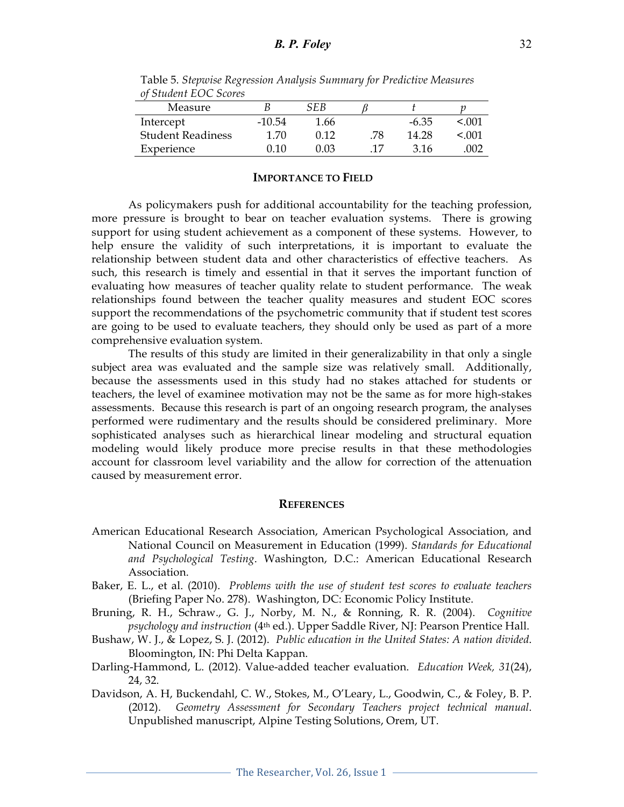| $\sim$                   |          |      |    |         |       |
|--------------------------|----------|------|----|---------|-------|
| Measure                  |          | SEB  |    |         |       |
| Intercept                | $-10.54$ | 1.66 |    | $-6.35$ | < 001 |
| <b>Student Readiness</b> | 1.70     | 0.12 | 78 | 14.28   | < 001 |
| Experience               | 0 10     | ነ በ3 |    | 316     | 002   |

Table 5. *Stepwise Regression Analysis Summary for Predictive Measures of Student EOC Scores*

#### **IMPORTANCE TO FIELD**

As policymakers push for additional accountability for the teaching profession, more pressure is brought to bear on teacher evaluation systems. There is growing support for using student achievement as a component of these systems. However, to help ensure the validity of such interpretations, it is important to evaluate the relationship between student data and other characteristics of effective teachers. As such, this research is timely and essential in that it serves the important function of evaluating how measures of teacher quality relate to student performance. The weak relationships found between the teacher quality measures and student EOC scores support the recommendations of the psychometric community that if student test scores are going to be used to evaluate teachers, they should only be used as part of a more comprehensive evaluation system.

The results of this study are limited in their generalizability in that only a single subject area was evaluated and the sample size was relatively small. Additionally, because the assessments used in this study had no stakes attached for students or teachers, the level of examinee motivation may not be the same as for more high-stakes assessments. Because this research is part of an ongoing research program, the analyses performed were rudimentary and the results should be considered preliminary. More sophisticated analyses such as hierarchical linear modeling and structural equation modeling would likely produce more precise results in that these methodologies account for classroom level variability and the allow for correction of the attenuation caused by measurement error.

#### **REFERENCES**

- American Educational Research Association, American Psychological Association, and National Council on Measurement in Education (1999). *Standards for Educational and Psychological Testing*. Washington, D.C.: American Educational Research Association.
- Baker, E. L., et al. (2010). *Problems with the use of student test scores to evaluate teachers*  (Briefing Paper No. 278). Washington, DC: Economic Policy Institute.
- Bruning, R. H., Schraw., G. J., Norby, M. N., & Ronning, R. R. (2004). *Cognitive psychology and instruction* (4th ed.). Upper Saddle River, NJ: Pearson Prentice Hall.
- Bushaw, W. J., & Lopez, S. J. (2012). *Public education in the United States: A nation divided*. Bloomington, IN: Phi Delta Kappan.
- Darling-Hammond, L. (2012). Value-added teacher evaluation. *Education Week, 31*(24), 24, 32.
- Davidson, A. H, Buckendahl, C. W., Stokes, M., O'Leary, L., Goodwin, C., & Foley, B. P. (2012). *Geometry Assessment for Secondary Teachers project technical manual*. Unpublished manuscript, Alpine Testing Solutions, Orem, UT.